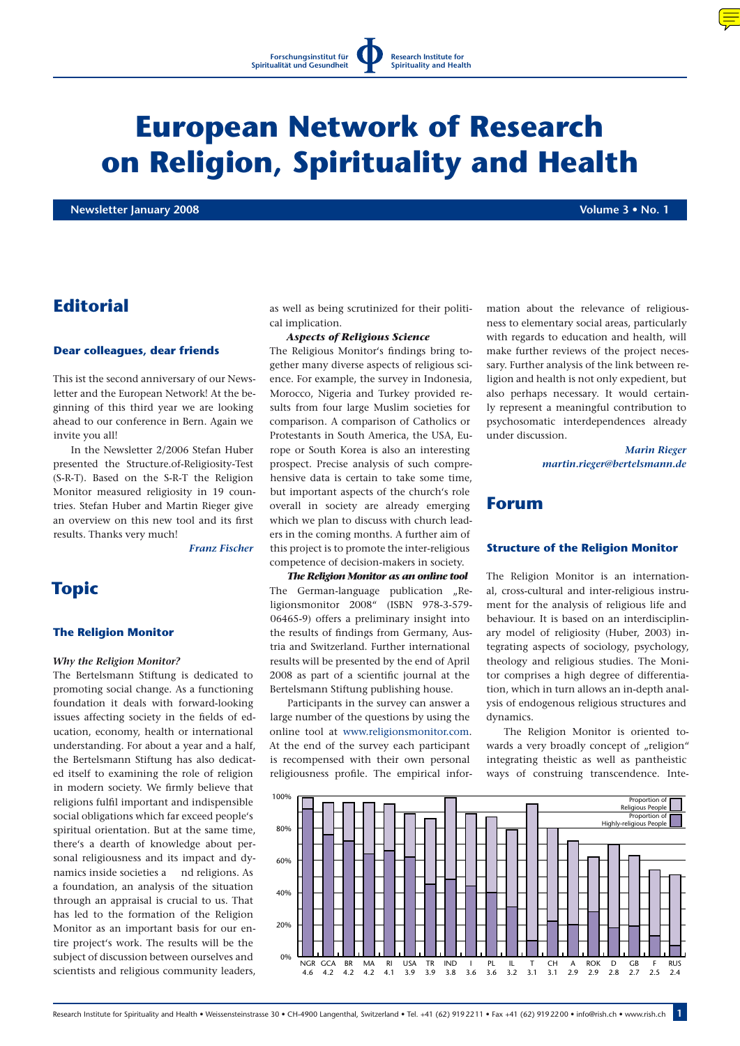

# **European Network of Research on Religion, Spirituality and Health**

**Newsletter January 2008 Volume 3 • No. 1**

# **Editorial**

#### **Dear colleagues, dear friends**

This ist the second anniversary of our Newsletter and the European Network! At the beginning of this third year we are looking ahead to our conference in Bern. Again we invite you all!

In the Newsletter 2/2006 Stefan Huber presented the Structure.of-Religiosity-Test (S-R-T). Based on the S-R-T the Religion Monitor measured religiosity in 19 countries. Stefan Huber and Martin Rieger give an overview on this new tool and its first results. Thanks very much!

*Franz Fischer*

# **Topic**

### **The Religion Monitor**

#### *Why the Religion Monitor?*

The Bertelsmann Stiftung is dedicated to promoting social change. As a functioning foundation it deals with forward-looking issues affecting society in the fields of education, economy, health or international understanding. For about a year and a half, the Bertelsmann Stiftung has also dedicated itself to examining the role of religion in modern society. We firmly believe that religions fulfil important and indispensible social obligations which far exceed people's spiritual orientation. But at the same time, there's a dearth of knowledge about personal religiousness and its impact and dynamics inside societies a nd religions. As a foundation, an analysis of the situation through an appraisal is crucial to us. That has led to the formation of the Religion Monitor as an important basis for our entire project's work. The results will be the subject of discussion between ourselves and scientists and religious community leaders, as well as being scrutinized for their political implication.

#### *Aspects of Religious Science*

The Religious Monitor's findings bring together many diverse aspects of religious science. For example, the survey in Indonesia, Morocco, Nigeria and Turkey provided results from four large Muslim societies for comparison. A comparison of Catholics or Protestants in South America, the USA, Europe or South Korea is also an interesting prospect. Precise analysis of such comprehensive data is certain to take some time, but important aspects of the church's role overall in society are already emerging which we plan to discuss with church leaders in the coming months. A further aim of this project is to promote the inter-religious competence of decision-makers in society.

*The Religion Monitor as an online tool* The German-language publication "Religionsmonitor 2008" (ISBN 978-3-579- 06465-9) offers a preliminary insight into the results of findings from Germany, Austria and Switzerland. Further international results will be presented by the end of April 2008 as part of a scientific journal at the Bertelsmann Stiftung publishing house.

Participants in the survey can answer a large number of the questions by using the online tool at www.religionsmonitor.com. At the end of the survey each participant is recompensed with their own personal religiousness profile. The empirical information about the relevance of religiousness to elementary social areas, particularly with regards to education and health, will make further reviews of the project necessary. Further analysis of the link between religion and health is not only expedient, but also perhaps necessary. It would certainly represent a meaningful contribution to psychosomatic interdependences already under discussion.

> *Marin Rieger martin.rieger@bertelsmann.de*

## **Forum**

#### **Structure of the Religion Monitor**

The Religion Monitor is an international, cross-cultural and inter-religious instrument for the analysis of religious life and behaviour. It is based on an interdisciplinary model of religiosity (Huber, 2003) integrating aspects of sociology, psychology, theology and religious studies. The Monitor comprises a high degree of differentiation, which in turn allows an in-depth analysis of endogenous religious structures and dynamics.

The Religion Monitor is oriented towards a very broadly concept of "religion" integrating theistic as well as pantheistic ways of construing transcendence. Inte-